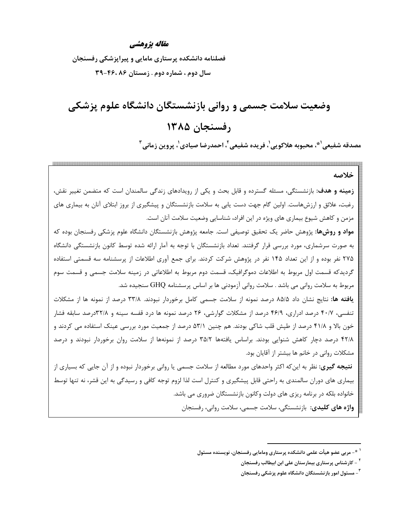#### مقاله يژوهشي

فصلنامه دانشکده پرستاری مامایی و پیراپزشکی رفسنجان سال دوم ، شماره دوم . زمستان ۴۶،۸۶-۳۹

# وضعیت سلامت جسمی و روانی بازنشستگان دانشگاه علوم پزشکی رفسنجان ۱۳۸۵

مصدقه شفيعي'\*، محبوبه هلاكويي'، فريده شفيعي'، احمدرضا صيادي'، پروين زماني ّ

خلاصه **زمینه و هدف**: بازنشستگی، مسئله گسترده و قابل بحث و یکی از رویدادهای زندگی سالمندان است که متضمن تغییر نقش، رغبت، علائق و ارزشهاست. اولین گام جهت دست پابی به سلامت بازنشستگان و پیشگیری از بروز ابتلای آنان به بیماری های مزمن و کاهش شیوع بیماری های ویژه در این افراد، شناسایی وضعیت سلامت آنان است. **مواد و روشها**: پژوهش حاضر یک تحقیق توصیفی است. جامعه پژوهش بازنشستگان دانشگاه علوم پزشکی رفسنجان بوده که به صورت سرشماری، مورد بررسی قرار گرفتند. تعداد بازنشستگان با توجه به آمار ارائه شده توسط کانون بازنشستگی دانشگاه ۲۷۵ نفر بوده و از این تعداد ۱۴۵ نفر در پژوهش شرکت کردند. برای جمع آوری اطلاعات از پرسشنامه سه قسمتی استفاده گردیدکه قسمت اول مربوط به اطلاعات دموگرافیک، قسمت دوم مربوط به اطلاعاتی در زمینه سلامت جسمی و قسمت سوم مربوط به سلامت روانی می باشد . سلامت روانی آزمودنی ها بر اساس پرسشنامه GHQ سنجیده شد. **یافته ها:** نتایج نشان داد ۸۵/۵ درصد نمونه از سلامت جسمی کامل برخوردار نبودند. ۳۳/۸ درصد از نمونه ها از مشکلات تنفسی، ۴۰/۷ درصد ادراری، ۴۶/۹ درصد از مشکلات گوارشی، ۲۶ درصد نمونه ها درد قفسه سینه و ۳۲/۸درصد سابقه فشار خون بالا و ۴۱/۸ درصد از طیش قلب شاکی بودند. هم چنین ۵۳/۱ درصد از جمعیت مورد بررسی عینک استفاده می کردند و ۴۲/۸ درصد دچار کاهش شنوایی بودند. براساس یافتهها ۳۵/۲ درصد از نمونهها از سلامت روان برخوردار نبودند و درصد مشکلات روانی در خانم ها بیشتر از آقایان بود. **نتیجه گیری:** نظر به اینکه اکثر واحدهای مورد مطالعه از سلامت جسمی یا روانی برخوردار نبوده و از آن جایی که بسیاری از بیماری های دوران سالمندی به راحتی قابل پیشگیری و کنترل است لذا لزوم توجه کافی و رسیدگی به این قشر، نه تنها توسط خانواده بلکه در برنامه ریزی های دولت وکانون بازنشستگان ضروری می باشد. واژه های کلیدی: بازنشستگی، سلامت جسمی، سلامت روانی، رفسنجان

<sup>&</sup>lt;sup>۱ \*</sup>- مربی عضو هیأت علمی دانشکده پرستاری ومامایی رفسنجان، نویسنده مسئول

<sup>&</sup>lt;sup>۲</sup> - کارشناس پرستاری بیمارستان علی ابن ابیطالب رفسنجان

<sup>&</sup>lt;sup>۳</sup>- مسئول امور بازنشستگان دانشگاه علوم پزشکی رفسنجان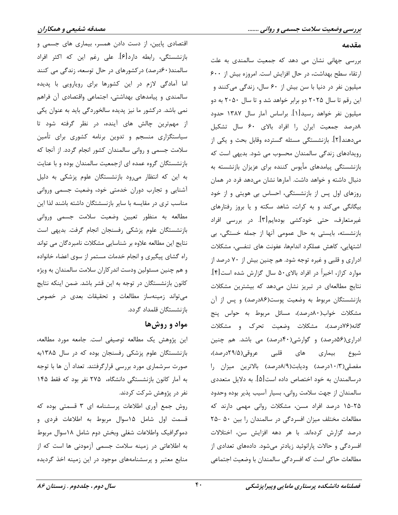## اقتصادی پایین، از دست دادن همسر، بیماری های جسمی و بازنشستگی، رابطه دارد[۶]. علی رغم این که اکثر افراد سالمند(۶۰درصد) درکشورهای در حال توسعه، زندگی می کنند اما آمادگی لازم در این کشورها برای رویارویی با پدیده سالمندی و پیامدهای بهداشتی، اجتماعی واقتصادی آن فراهم نمی باشد. درکشور ما نیز پدیده سالخوردگی باید به عنوان یکی از مهمترین چالش های آینده، در نظر گرفته شود تا سیاستگزاری منسجم و تدوین برنامه کشوری برای تأمین سلامت جسمی و روانی سالمندان کشور انجام گردد. از آنجا که بازنشستگان گروه عمده ای ازجمعیت سالمندان بوده و با عنایت به این که انتظار می رود بازنشستگان علوم پزشکی به دلیل آشنایی و تجارب دوران خدمتی خود، وضعیت جسمی وروانی مناسب تری در مقایسه با سایر بازنسشتگان داشته باشند لذا این مطالعه به منظور تعيين وضعيت سلامت جسمى ورواني بازنشستگان علوم پزشکی رفسنجان انجام گرفت. بدیهی است نتایج این مطالعه علاوه بر شناسایی مشکلات نامبردگان می تواند راه گشای پیگیری و انجام خدمات مستمر از سوی اعضاء خانواده و هم چنین مسئولین ودست اندرکاران سلامت سالمندان به ویژه كانون بازنشستگان در توجه به اين قشر باشد. ضمن اينكه نتايج می تواند زمینهساز مطالعات و تحقیقات بعدی در خصوص بازنشستگان قلمداد گردد.

## مواد و روشها

این پژوهش یک مطالعه توصیفی است. جامعه مورد مطالعه، بازنشستگان علوم پزشکی رفسنجان بوده که در سال ۱۳۸۵به صورت سرشماری مورد بررسی قرارگرفتند. تعداد آن ها با توجه به آمار کانون بازنشستگی دانشگاه، ۲۷۵ نفر بود که فقط ۱۴۵ نفر در پژوهش شرکت کردند.

روش جمع آوری اطلاعات پرسشنامه ای ۳ قسمتی بوده که قسمت اول شامل ۱۵سوال مربوط به اطلاعات فردى و دموگرافیک واطلاعات شغلی وبخش دوم شامل ۱۸سوال مربوط به اطلاعاتی در زمینه سلامت جسمی آزمودنی ها است که از منابع معتبر و پرسشنامههای موجود در این زمینه اخذ گردیده

بررسی جهانی نشان می دهد که جمعیت سالمندی به علت ارتقاء سطح بهداشت، در حال افزایش است. امروزه بیش از ۶۰۰ میلیون نفر در دنیا با سن بیش از ۶۰ سال، زندگی می کنند و این رقم تا سال ۲۰۲۵ دو برابر خواهد شد و تا سال ۲۰۵۰ به دو میلیون نفر خواهد رسید[۱]. براساس آمار سال ۱۳۸۷ حدود ٨درصد جمعیت ایران را افراد بالای ۶۰ سال تشکیل میدهند[۲]. بازنشستگی مسئله گسترده وقابل بحث و یکی از رویدادهای زندگی سالمندان محسوب می شود. بدیهی است که بازنشستگی پیامدهای مأیوس کننده برای عزیزان بازنشسته به دنبال داشته و خواهد داشت. آمارها نشان میدهد فرد در همان روزهای اول پس از بازنشستگی، احساس بی هویتی و از خود بیگانگی می کند و به کرات، شاهد سکته و یا بروز رفتارهای غیرمتعارف، حتی خودکشی بودهایم[۳]. در بررسی افراد بازنشسته، بایستی به حال عمومی آنها از جمله خستگی، بی اشتهایی، کاهش عملکرد اندامها، عفونت های تنفسی، مشکلات ادراری و قلبی و غیره توجه شود. هم چنین بیش از ۷۰ درصد از موارد كزاز، اخيراً در افراد بالاي٥٠ سال گزارش شده است[۴]. نتایج مطالعهای در تبریز نشان میدهد که بیشترین مشکلات بازنشستگان مربوط به وضعیت پوست(۸۶درصد) و پس از آن مشکلات خواب(۸۰درصد)، مسائل مربوط به حواس پنج گانه(۷۶درصد)، مشکلات وضعیت تحرک و مشکلات ادراری(۵۶درصد) و گوارشی(۴۰درصد) می باشد. هم چنین های قلبی عروقی(۲۹/۵درصد)، شیوع بیماری مفصلی(۱۰/۳درصد) ودیابت(۸/۹درصد) بالاترین میزان را درسالمندان به خود اختصاص داده است[۵]. به دلایل متعددی سالمندان از جهت سلامت رواني، بسيار آسيب پذير بوده وحدود ۲۵-۱۵ درصد افراد مسن، مشکلات روانی مهمی دارند که مطالعات مختلف میزان افسردگی در سالمندان را بین ۵۰ -۲۵ درصد گزارش کردهاند. با هر دهه افزایش سن، اختلالات افسردگی و حالات پارانوئید زیادتر میشود. دادههای تعدادی از مطالعات حاکی است که افسردگی سالمندان با وضعیت اجتماعی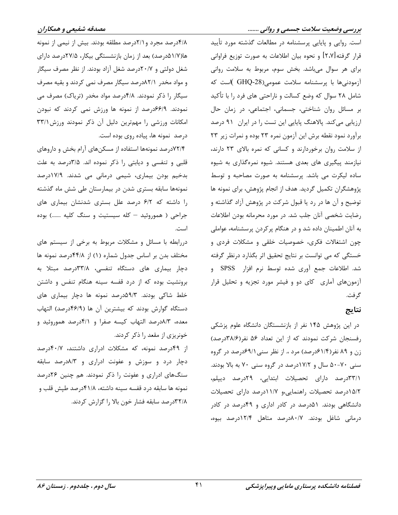است. روایی و پایایی پرسشنامه در مطالعات گذشته مورد تأیید قرار گرفته[۲،۷] و نحوه بیان اطلاعات به صورت توزیع فراوانی برای هر سوال میباشد. بخش سوم، مربوط به سلامت روانی آزمودنیها با پرسشنامه سلامت عمومی (GHQ-28 )است که شامل ۲۸ سوال که وضع کسالت و ناراحتی های فرد را با تأکید بر مسائل روان شناختی، جسمانی، اجتماعی، در زمان حال ارزیابی میکند. پالاهنگ پایایی این تست را در ایران ۹۱ درصد برآورد نمود نقطه برش این آزمون نمره ٢٣ بوده و نمرات زیر ٢٣ از سلامت روان برخوردارند و کسانی که نمره بالای ۲۳ دارند، نیازمند پیگیری های بعدی هستند. شیوه نمرهگذاری به شیوه ساده لیکرت می باشد. پرسشنامه به صورت مصاحبه و توسط پژوهشگران تکمیل گردید. هدف از انجام پژوهش، برای نمونه ها توضیح و آن ها در رد یا قبول شرکت در پژوهش آزاد گذاشته و رضایت شخصی آنان جلب شد. در مورد محرمانه بودن اطلاعات به آنان اطمینان داده شد و در هنگام پرکردن پرسشنامه، عواملی چون اشتغالات فکری، خصوصیات خلقی و مشکلات فردی و خستگی که می توانست بر نتایج تحقیق اثر بگذارد درنظر گرفته شد. اطلاعات جمع آوري شده توسط نرم افزار SPSS و آزمونهای آماری کای دو و فیشر مورد تجزیه و تحلیل قرار گر فت.

#### نتايج

در این پژوهش ۱۴۵ نفر از بازنشستگان دانشگاه علوم پزشکی رفسنجان شركت نمودند كه از اين تعداد ۵۶ نفر(۳۸/۶درصد) زن و ۸۹ نفر(۶۱/۴درصد) مرد ،. از نظر سنی4۹/۱ درصد در گروه سنی ۷۰-۵۰ سال و ۱۷/۲درصد در گروه سنی ۷۰ به بالا بودند. ۳۳/۱درصد دارای تحصیلات ابتدایی، ۲۹درصد دیپلم، ٥/٢درصد تحصيلات راهنمايي،و ١١/٧درصد داراي تحصيلات دانشگاهی بودند. ۵۱درصد در کادر اداری و ۴۹درصد در کادر درمانی شاغل بودند. ۸۰/۷درصد متاهل ۱۲/۴درصد بیوه،

۴/۸درصد مجرد و ۲/۱درصد مطلقه بودند. بیش از نیمی از نمونه ها(۱/۷هدرصد) بعد از زمان بازنشستگی بیکار، ۲۷/۵درصد دارای شغل دولتی و ۲۰/۷درصد شغل آزاد بودند. از نظر مصرف سیگار و مواد مخدر ۸۲/۱درصد سیگار مصرف نمی کردند و بقیه مصرف سیگار را ذکر نمودند. ۴/۸درصد مواد مخدر (تریاک) مصرف می نمودند. ۶۶/۱۹درصد از نمونه ها ورزش نمی کردند که نبودن امکانات ورزشی را مهمترین دلیل آن ذکر نمودند ورزش ۳۳/۱ درصد نمونه ها، پیاده روی بوده است.

۷۲/۴درصد نمونهها استفاده از مسکنهای آرام بخش و داروهای قلبی و تنفسی و دیابتی را ذکر نموده اند. ۳/۵درصد به علت بدخیم بودن بیماری، شیمی درمانی می شدند. ۱۷/۹درصد نمونهها سابقه بسترى شدن در بيمارستان طى شش ماه گذشته را داشته که ۶/۲ درصد علل بستری شدنشان بیماری های جراحی ( هموروئید - کله سیستیت و سنگ کلیه .......) بوده است.

دررابطه با مسائل و مشکلات مربوط به برخی از سیستم های مختلف بدن بر اساس جدول شماره (١) از ۴۴/۸درصد نمونه ها دچار بیماری های دستگاه تنفسی، ٣٣/٨درصد مبتلا به برونشیت بوده که از درد قفسه سینه هنگام تنفس و داشتن خلط شاکی بودند. ۵۹/۳درصد نمونه ها دچار بیماری های دستگاه گوارش بودند که بیشترین آن ها (۴۶/۹درصد) التهاب معده، ۸/۳درصد التهاب کیسه صفرا و ۴/۱درصد هموروئید و خونریزی از مقعد را ذکر کردند.

از ۴۹درصد نمونه، که مشکلات ادراری داشتند، ۴۰/۷درصد دچار درد و سوزش و عفونت ادراری و ۸/۳درصد سابقه سنگهای ادراری و عفونت را ذکر نمودند. هم چنین ۲۶درصد نمونه ها سابقه درد قفسه سينه داشته، ۴۱/۸درصد طپش قلب و ٣٢/٨درصد سابقه فشار خون بالا را گزارش کردند.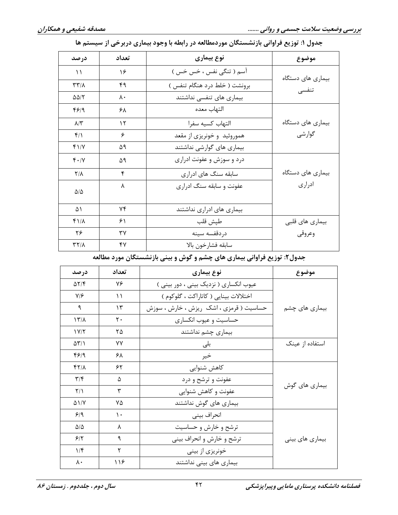| درصد                    | تعداد | نوع بیماری                  | موضوع             |
|-------------------------|-------|-----------------------------|-------------------|
| $\setminus$             | ۱۶    | آسم (تنگی نفس ، خس خس )     | بیماری های دستگاه |
| $\mathbf{r}\mathbf{r}$  | ۴۹    | برونشت (خلط درد هنگام تنفس) | تنفسي             |
| $\Delta\Delta/\Upsilon$ | ۸۰    | بیماری های تنفسی نداشتند    |                   |
| ۴۶۱۹                    | ۶۸    | التهاب معده                 |                   |
| $\lambda/\tilde{\tau}$  | ۱۲    | التهاب كسيه سفرا            | بیماری های دستگاه |
| $f/\lambda$             | ۶     | هموروئید و خونریزی از مقعد  | گوارشى            |
| $f\$                    | ۵۹    | بیماری های گوارشی نداشتند   |                   |
| $f \cdot / V$           | ۵۹    | درد و سوزش و عفونت ادراری   |                   |
| $Y/\lambda$             | ۴     | سابقه سنگ های ادراری        | بیماری های دستگاه |
| $\Delta/\Delta$         | ٨     | عفونت و سابقه سنگ ادراری    | ادرارى            |
| ۵۱                      | ۷۴    | بیماری های ادراری نداشتند   |                   |
| $f/\lambda$             | ۶۱    | طپش قلب                     | بیماری های قلبی   |
| ۲۶                      | ٣٧    | دردقفسه سينه                | وعروقى            |
| $YY/\lambda$            | ۴٧    | سابقه فشارخون بالا          |                   |

### جدول ۱: توزیع فراوانی بازنشستگان موردمطالعه در رابطه با وجود بیماری دربرخی از سیستم ها

## جدول۲: توزیع فراوانی بیماری های چشم و گوش و بینی بازنشستگان مورد مطالعه

| درصد                         | تعداد | نوع بیماری                              | موضوع           |  |
|------------------------------|-------|-----------------------------------------|-----------------|--|
| $\Delta Y/\mathfrak{F}$      | ٧۶    | عیوب انکساری ( نزدیک بینی ، دور بینی )  |                 |  |
| $Y/\mathcal{F}$              | ۱۱    | اختلالات بينايي ( كاتاراكت ، گلوكوم )   |                 |  |
| ٩                            | ۱۳    | حساسیت ( قرمزی ، اشک ریزش ، خارش ، سوزش | بیماری های چشم  |  |
| $\frac{1}{\sqrt{2}}$         | ٢٠    | حساسیت و عیوب انکساری                   |                 |  |
| 1Y/Y                         | ۲۵    | بیماری چشم نداشتند                      |                 |  |
| $\Delta \Upsilon / \Upsilon$ | ٧٧    | بلى                                     | استفاده از عینک |  |
| f5/9                         | ۶۸    | خير                                     |                 |  |
| $f\gamma/\lambda$            | ۶۲    | كاهش شنوايي                             |                 |  |
| $\mathbf{r}/\mathbf{r}$      | ۵     | عفونت و ترشح و درد                      |                 |  |
| $\frac{1}{\sqrt{2}}$         | ٣     | عفونت و کاهش شنوایی                     | بیماری های گوش  |  |
| $\Delta$ \/Y                 | ۷۵    | بیماری های گوش نداشتند                  |                 |  |
| 9/9                          | ۱۰    | انحراف بيني                             |                 |  |
| $\Delta/\Delta$              | ٨     | ترشح و خارش و حساسیت                    |                 |  |
| 5/5                          | ٩     | ترشح و خارش و انحراف بيني               | بیماری های بینی |  |
| 1/f                          | ٢     | خونریزی از بینی                         |                 |  |
| ٨٠                           | ۱۱۶   | بیماری های بینی نداشتند                 |                 |  |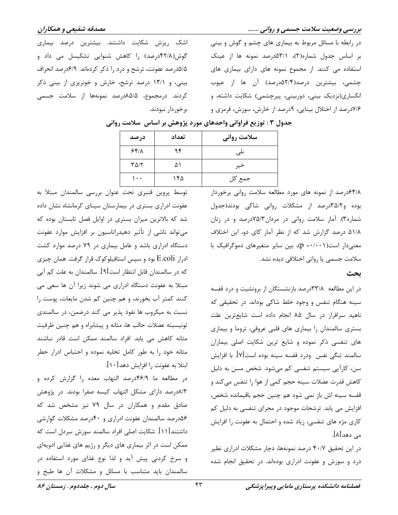مصدقه شفیعی و همکاران

در رابطه با مسائل مربوط به بیماری های چشم و گوش و بینی بر اساس جدول شماره(٢)، ۵۳/۱درصد نمونه ها از عینک استفاده می کنند. از مجموع نمونه های دارای بیماری های چشمی، بیشترین درصد(۵۲/۴درصد) آن ها از عیوب انکساری(نزدیک بینی، دوربینی، پیرچشمی) شکایت داشته، و ۷/۶درصد از اختلال بینایی، ۹درصد از خارش، سوزش، قرمزی و

اشک ریزش شکایت داشتند. بیشترین درصد بیماری گوش(۴۲/۸درصد) را کاهش شنوایی تشکیسل می داد و ۵/۵درصد عفونت، ترشح و درد را ذکر کردهاند. ۶/۹درصد انحراف بینی، و ۱۳/۱ درصد ترشح، خارش و خونریزی از بینی ذکر کردند. درمجموع، ۸۵/۵درصد نمونهها از سلامت جسمی برخوردار نبودند.

|                          | , _ ,, , _ _ | , , , , , , , , |
|--------------------------|--------------|-----------------|
| درصد                     | تعداد        | سلامت روانی     |
| 55/1                     | ۹۴           | بلى             |
| $\Gamma \Delta/\Upsilon$ | ۵۱           | خير             |
| ۰۰۱                      | ۱۴۵          | جمع کل          |

#### جدول ٣ : توزيع فراواني واحدهاي مورد پژوهش بر اساس سلامت رواني

۶۴/۸درصد از نمونه های مورد مطالعه سلامت روانی برخوردار بوده و۳۵/۲درصد از مشکلات روانی شاکی بودند(جدول شماره۳). آمار سلامت روانی در مردان۷۵/۳درصد و در زنان ۵۱/۸ درصد گزارش شد که از نظر آمار کای دو، این اختلاف معنیدار است(p =۰/۰۰۱)، بین سایر متغیرهای دموگرافیک با سلامت جسمی یا روانی اختلافی دیده نشد.

#### بحث

در این مطالعه ۳۳/۸درصد بازنشستگان از برونشیت و درد قفسه سینه هنگام تنفس و وجود خلط شاکی بوداند. در تحقیقی که ناهید سرافراز در سال ۸۵ انجام داده است شایعترین علت بستری سالمندان را بیماری های قلبی عروقی، تروما و بیماری های تنفسی ذکر نموده و شایع ترین شکایت اصلی بیماران سالمند تنگی نفس ِ ودرد قفسه سینه بوده است[۷]. با افزایش سن، کارآیی سیستم تنفسی کم میشود. شخص مسن به دلیل كاهش قدرت عضلات سينه حجم كمي از هوا را تنفس مي كند و قفسه سينه اش باز نمي شود هم چنين حجم باقيمانده شخص، افزایش می یابد. ترشحات موجود در مجرای تنفسی به دلیل کم کاری مژه های تنفسی، زیاد شده و احتمال به عفونت را افزایش مے دھد∏∧].

در این تحقیق ۴۰/۷ درصد نمونهها، دچار مشکلات ادراری نظیر درد و سوزش و عفونت ادراری بودهاند. در تحقیق انجام شده

توسط پروین قنبری تحت عنوان بررسی سالمندان مبتلا به عفونت ادراری بستری در بیمارستان سینای کرمانشاه نشان داده شد که بالاترین میزان بستری در اوایل فصل تابستان بوده که میتواند ناشی از تأثیر دهیدراتاسیون بر افزایش موارد عفونت دستگاه ادراری باشد و عامل بیماری در ۷۹ درصد موارد کشت ادرار E.coli بود و سپس استافیلوکوک قرار گرفت. همان چیزی كه در سالمندان قابل انتظار است[۹]. سالمندان به علت كم آبي مبتلا به عفونت دستگاه ادراری می شوند زیرا آن ها سعی می كنند كمتر آب بخورند، و هم چنين كم شدن مايعات، پوست را نسبت به میکروب ها نفوذ پذیر می کند درضمن، در سالمندی تونيسيته عضلات حالب ها، مثانه و پيشابراه و هم چنين ظرفيت مثانه کاهش می یابد. افراد سالمند ممکن است قادر نباشند مثانه خود را به طور کامل تخلیه نموده و احتباس ادرار خطر ابتلا به عفونت را افزایش دهد[۱۰].

در مطالعه ما ۴۶/۹درصد التهاب معده را گزارش کرده و ۸/۳درصد دارای مشکل التهاب کیسه صفرا بودند. در پژوهش صادق مقدم و همکاران در سال ۷۹ نیز مشخص شد که ۵۶درصد سالمندان عفونت ادراری و ۴۰درصد مشکلات گوارشی داشتند[۱۱]. شکایت اصلی افراد سالمند سوزش سردل است که ممکن است در اثر بیماری های دیگر و رژیم های غذایی ادویهای و سرخ کردنی پیش آید و لذا نوع غذای مورد استفاده در سالمندان باید متناسب با مسائل و مشکلات آن ها طبخ و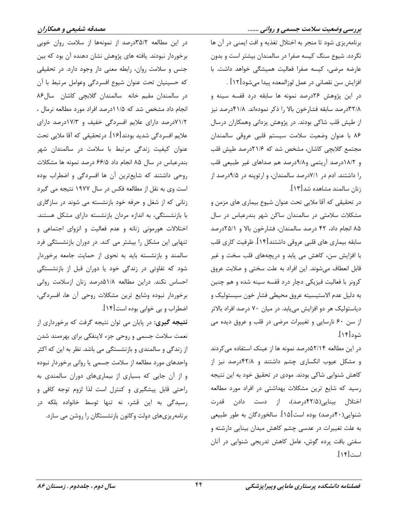در این مطالعه ۳۵/۲درصد از نمونهها از سلامت روان خوبی برخوردار نبودند. یافته های پژوهش نشان دهنده آن بود که بین جنس و سلامت روان، رابطه معنی دار وجود دارد. در تحقیقی كه حسينيان تحت عنوان شيوع افسردگي وعوامل مرتبط با آن در سالمندان مقیم خانه سالمندان گلابچی کاشان سال ۸۶ انجام داد مشخص شد که ۱۱/۵درصد افراد مورد مطالعه نرمال ، ۷۱/۲درصد دارای علایم افسردگی خفیف و ۱۷/۳درصد دارای علايم افسردگي شديد بودند[۱۶]. در تحقيقي كه آقا ملايي تحت عنوان کیفیت زندگی مرتبط با سلامت در سالمندان شهر بندرعباس در سال ۸۵ انجام داد ۶۶/۵ درصد نمونه ها مشکلات روحی داشتند که شایع ترین آن ها افسردگی و اضطراب بوده است وی به نقل از مطالعه فکس در سال ۱۹۷۷ نتیجه می گیرد زنانی که از شغل و حرفه خود بازنشسته می شوند در سازگاری با بازنشستگی، به اندازه مردان بازنشسته دارای مشکل هستند. اختلالات هورمونی زنانه و عدم فعالیت و انزوای اجتماعی و تنهایی این مشکل را بیشتر می کند. در دوران بازنشستگی فرد سالمند و بازنشسته باید به نحوی از حمایت جامعه برخوردار شود که تفاوتی در زندگی خود یا دوران قبل از بازنشستگی احساس نكند. دراين مطالعه ٥١/٨درصد زنان ازسلامت رواني برخوردار نبوده وشايع ترين مشكلات روحي آن ها، افسردگي، اضطراب و بي خوابي بوده است[۱۴].

**نتیجه گیری**: در پایان می توان نتیجه گرفت که برخورداری از نعمت سلامت جسمي و روحي جزء لاينفكي براي بهرهمند شدن از زندگی و سالمندی و بازنشستگی می باشد. نظر به این که اکثر واحدهای مورد مطالعه از سلامت جسمی یا روانی برخوردار نبوده و از آن جایی که بسیاری از بیماریهای دوران سالمندی به راحتی قابل پیشگیری و کنترل است لذا لزوم توجه کافی و رسیدگی به این قشر، نه تنها توسط خانواده بلکه در برنامهریزیهای دولت وکانون بازنشستگان را روشن می سازد.

برنامهریزی شود تا منجر به اختلال تغذیه و افت ایمنی در آن ها نگردد. شیوع سنگ کیسه صفرا در سالمندان بیشتر است و بدون عارضه مرضى، كيسه صفرا فعاليت هميشكى خواهد داشت. با افزايش سن نقصاني در عمل لوزالمعده پيدا مي شود[١٢] .

در این پژوهش ۲۶درصد نمونه ها سابقه درد قفسه سینه و ٣٢/٨درصد سابقه فشارخون بالا را ذكر نمودهاند. ۴١/٨درصد نيز از طپش قلب شاکی بودند. در پژوهش پزدانی وهمکاران درسال ۸۶ با عنوان وضعیت سلامت سیستم قلبی عروقی سالمندان مجتمع گلابچی کاشان، مشخص شد که ۲۱/۶درصد طپش قلب و ١٨/٢درصد آريتمي و٩/٨درصد هم صداهاي غير طبيعي قلب را داشتند. ادم در ۷/۱درصد سالمندان، و ارتوپنه در ۹/۵درصد از زنان سالمند مشاهده شد[۱۳].

در تحقیقی که آقا ملایی تحت عنوان شیوع بیماری های مزمن و مشکلات سلامتی در سالمندان ساکن شهر بندرعباس در سال ۸۵ انجام داد، ۴۲ درصد سالمندان، فشارخون بالا و ۲۵/۱درصد سابقه بيماري هاي قلبي عروقي داشتند[۱۴]. ظرفيت كاري قلب با افزایش سن، کاهش می یابد و دریچههای قلب سخت و غیر قابل انعطاف میشوند. این افراد به علت سختی و صلابت عروق کرونر با فعالیت فیزیکی دچار درد قفسه سینه شده و هم چنین به دليل عدم الاستيسيته عروق محيطى فشار خون سيستوليك و دیاستولیک هر دو افزایش می یابد. در میان ۷۰ درصد افراد بالاتر از سن ۶۰ نارسایی و تغییرات مرضی در قلب و عروق دیده می شود[۱۴].

در این مطالعه ۵۲/۱۴درصد نمونه ها از عینک استفاده می کردند و مشکل عیوب انکساری چشم داشتند و ۴۲/۸درصد نیز از كاهش شنوايي شاكي بودند. مودي در تحقيق خود به اين نتيجه رسید که شایع ترین مشکلات بهداشتی در افراد مورد مطالعه اختلال بینایی(۴۲/۵درصد)، از دست دادن قدرت شنوایی(۴۰درصد) بوده است[۱۵]. سالخوردگان به طور طبیعی به علت تغییرات در عدسی چشم کاهش میدان بینایی دارشته و سفتی بافت پرده گوش، عامل کاهش تدریجی شنوایی در آنان است[۱۴].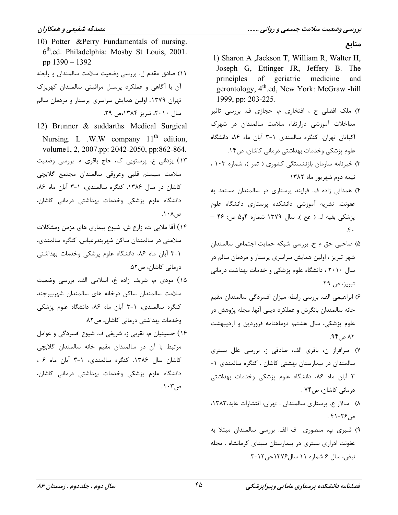منابع

10) Potter & Perry Fundamentals of nursing. 6th.ed. Philadelphia: Mosby St Louis, 2001. pp  $1390 - 1392$ 

١١) صادق مقدم ل. بررسي وضعيت سلامت سالمندان و رابطه آن با آگاهی و عملکرد پرسنل مراقبتی سالمندان کهریزک تهران ۱۳۷۹. اولین همایش سراسری پرستار و مردمان سالم سال ٢٠١٠، تبريز ١٣٨۴،ص ٢٩.

12) Brunner & suddarths. Medical Surgical Nursing. L .W.W company  $11<sup>th</sup>$  edition, volume1, 2, 2007.pp: 2042-2050, pp:862-864. ١٣) يزداني ع، پرستويي ک، حاج باقرى م. بررسى وضعيت سلامت سيستم قلبي وعروقى سالمندان مجتمع گلابچى کاشان در سال ۱۳۸۶. کنگره سالمندی، ۱-۳ آبان ماه ۸۶، دانشگاه علوم پزشکی وخدمات بهداشتی درمانی کاشان،  $\Lambda \cdot \Lambda$ ,  $\varphi$ 

- ۱۴) آقا ملایی ت، زارع ش. شیوع بیماری های مزمن ومشکلات سلامتی در سالمندان ساکن شهربندرعباس. کنگره سالمندی، ۱-۳ آبان ماه ۸۶، دانشگاه علوم پزشکی وخدمات بهداشتی درمانی کاشان، ص ۵۲.
- ۱۵) مودی م، شریف زاده غ، اسلامی الف. بررسی وضعیت سلامت سالمندان ساكن درخانه هاى سالمندان شهربيرجند کنگره سالمندی، ١-٣ آبان ماه ٨۶، دانشگاه علوم پزشکی وخدمات بهداشتی درمانی کاشان، ص۸۲.
- ۱۶) حسینیان م، تقربی ز، شریفی ف. شیوع افسردگی و عوامل مرتبط با آن در سالمندان مقیم خانه سالمندان گلابچی كاشان سال ١٣٨۶. كنگره سالمندى، ١-٣ آبان ماه ٤ ، دانشگاه علوم پزشکی وخدمات بهداشتی درمانی کاشان،  $\cdot$ م، ۱۰۳
- 1) Sharon A , Jackson T, William R, Walter H, Joseph G, Ettinger JR, Jeffery B. The principles of geriatric medicine and gerontology, 4<sup>th</sup>.ed, New York: McGraw -hill 1999, pp: 203-225.
- ۲) ملک افضلی ح ، افتخاری م، حجازی ف. بررسی تاثیر مداخلات آموزشی درارتقاء سلامت سالمندان در شهرک اکباتان تهران. کنگره سالمندی ۱-۳ آبان ماه ۸۶، دانشگاه علوم پزشکی وخدمات بهداشتی درمانی کاشان، ص۱۴.
- ۳) خبرنامه سازمان بازنشستگی کشوری ( ثمر )، شماره ۱۰۳ ، نیمه دوم شهریور ماه ۱۳۸۲
- ۴) همدانی زاده ف. فرایند پرستاری در سالمندان مستعد به عفونت. نشریه آموزشی دانشکده پرستاری دانشگاه علوم پزشکی بقیه ا... ( عج )، سال ۱۳۷۹ شماره ۴۶ه ص: ۴۶ –  $\mathfrak{F}$ .
- ۵) صاحبی حق م ح. بررسی شبکه حمایت اجتماعی سالمندان شهر تبریز ، اولین همایش سراسری پرستار و مردمان سالم در سال ۲۰۱۰، دانشگاه علوم پزشکی و خدمات بهداشت درمانی تبريز، ص ٢٩.
- ۶) ابراهیمی الف. بررسی رابطه میزان افسردگی سالمندان مقیم خانه سالمندان بانگرش و عملکرد دینی آنها. مجله پژوهش در علوم پزشکی، سال هشتم، دوماهنامه فروردین و اردیبهشت  $AP_{0}$  م ۹۴.
- ٧) سرافراز ن، باقرى الف، صادقى ز. بررسى علل بسترى سالمندان در بیمارستان بهشتی کاشان . کنگره سالمندی ۱-۳ آبان ماه ۸۶، دانشگاه علوم پزشکی وخدمات بهداشتی درمانی کاشان، ص۷۴ .
- ٨) سالار ع. پرستاری سالمندان . تهران: انتشارات عابد،١٣٨٣،  $.51-79$ .
- ۹) قنبری پ، منصوری ِ ف الف. بررسی سالمندان مبتلا به عفونت ادراری بستری در بیمارستان سینای کرمانشاه . مجله نبض، سال ۶ شماره ۱۱ سال ۱۳۷۶،ص ۲-۳.